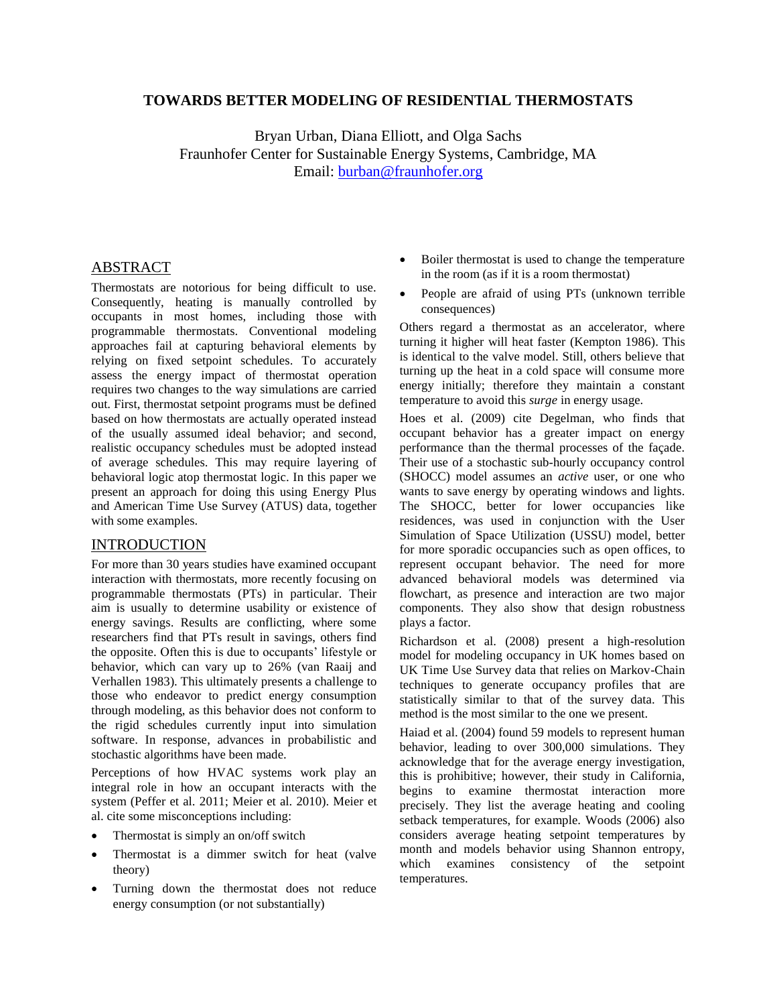# **TOWARDS BETTER MODELING OF RESIDENTIAL THERMOSTATS**

Bryan Urban, Diana Elliott, and Olga Sachs Fraunhofer Center for Sustainable Energy Systems, Cambridge, MA Email: [burban@fraunhofer.org](mailto:burban@fraunhofer.org)

# ABSTRACT

Thermostats are notorious for being difficult to use. Consequently, heating is manually controlled by occupants in most homes, including those with programmable thermostats. Conventional modeling approaches fail at capturing behavioral elements by relying on fixed setpoint schedules. To accurately assess the energy impact of thermostat operation requires two changes to the way simulations are carried out. First, thermostat setpoint programs must be defined based on how thermostats are actually operated instead of the usually assumed ideal behavior; and second, realistic occupancy schedules must be adopted instead of average schedules. This may require layering of behavioral logic atop thermostat logic. In this paper we present an approach for doing this using Energy Plus and American Time Use Survey (ATUS) data, together with some examples.

### INTRODUCTION

For more than 30 years studies have examined occupant interaction with thermostats, more recently focusing on programmable thermostats (PTs) in particular. Their aim is usually to determine usability or existence of energy savings. Results are conflicting, where some researchers find that PTs result in savings, others find the opposite. Often this is due to occupants' lifestyle or behavior, which can vary up to 26% (van Raaij and Verhallen 1983). This ultimately presents a challenge to those who endeavor to predict energy consumption through modeling, as this behavior does not conform to the rigid schedules currently input into simulation software. In response, advances in probabilistic and stochastic algorithms have been made.

Perceptions of how HVAC systems work play an integral role in how an occupant interacts with the system (Peffer et al. 2011; Meier et al. 2010). Meier et al. cite some misconceptions including:

- Thermostat is simply an on/off switch
- Thermostat is a dimmer switch for heat (valve theory)
- Turning down the thermostat does not reduce energy consumption (or not substantially)
- Boiler thermostat is used to change the temperature in the room (as if it is a room thermostat)
- People are afraid of using PTs (unknown terrible consequences)

Others regard a thermostat as an accelerator, where turning it higher will heat faster (Kempton 1986). This is identical to the valve model. Still, others believe that turning up the heat in a cold space will consume more energy initially; therefore they maintain a constant temperature to avoid this *surge* in energy usage.

Hoes et al. (2009) cite Degelman, who finds that occupant behavior has a greater impact on energy performance than the thermal processes of the façade. Their use of a stochastic sub-hourly occupancy control (SHOCC) model assumes an *active* user, or one who wants to save energy by operating windows and lights. The SHOCC, better for lower occupancies like residences, was used in conjunction with the User Simulation of Space Utilization (USSU) model, better for more sporadic occupancies such as open offices, to represent occupant behavior. The need for more advanced behavioral models was determined via flowchart, as presence and interaction are two major components. They also show that design robustness plays a factor.

Richardson et al. (2008) present a high-resolution model for modeling occupancy in UK homes based on UK Time Use Survey data that relies on Markov-Chain techniques to generate occupancy profiles that are statistically similar to that of the survey data. This method is the most similar to the one we present.

Haiad et al. (2004) found 59 models to represent human behavior, leading to over 300,000 simulations. They acknowledge that for the average energy investigation, this is prohibitive; however, their study in California, begins to examine thermostat interaction more precisely. They list the average heating and cooling setback temperatures, for example. Woods (2006) also considers average heating setpoint temperatures by month and models behavior using Shannon entropy, which examines consistency of the setpoint temperatures.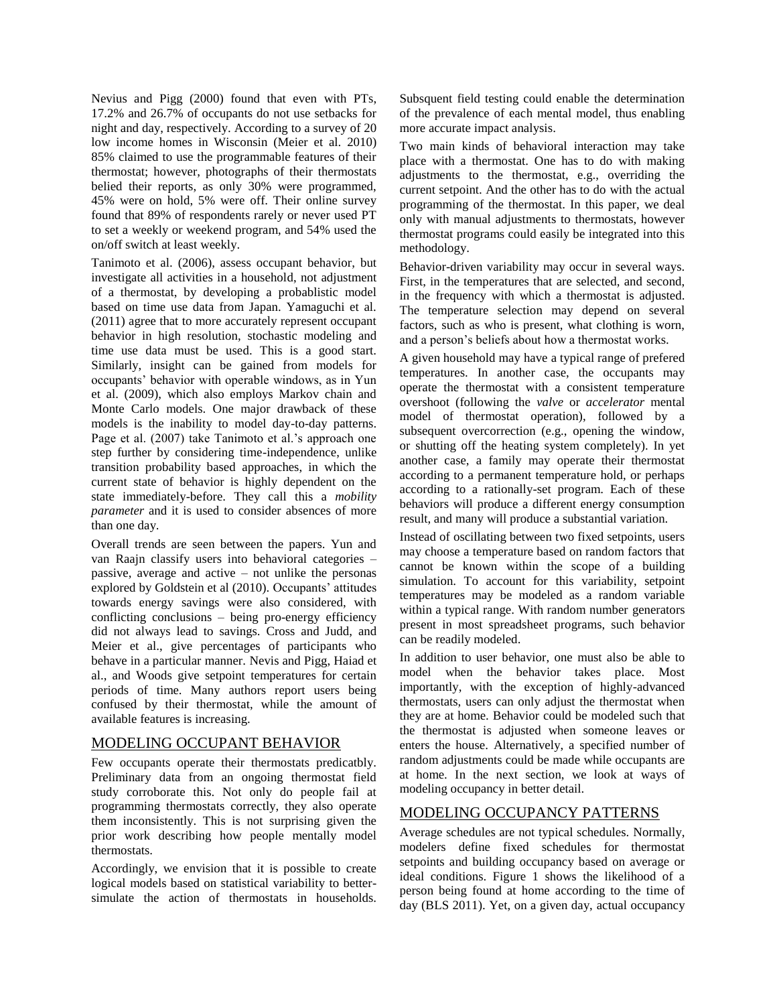Nevius and Pigg (2000) found that even with PTs, 17.2% and 26.7% of occupants do not use setbacks for night and day, respectively. According to a survey of 20 low income homes in Wisconsin (Meier et al. 2010) 85% claimed to use the programmable features of their thermostat; however, photographs of their thermostats belied their reports, as only 30% were programmed, 45% were on hold, 5% were off. Their online survey found that 89% of respondents rarely or never used PT to set a weekly or weekend program, and 54% used the on/off switch at least weekly.

Tanimoto et al. (2006), assess occupant behavior, but investigate all activities in a household, not adjustment of a thermostat, by developing a probablistic model based on time use data from Japan. Yamaguchi et al. (2011) agree that to more accurately represent occupant behavior in high resolution, stochastic modeling and time use data must be used. This is a good start. Similarly, insight can be gained from models for occupants' behavior with operable windows, as in Yun et al. (2009), which also employs Markov chain and Monte Carlo models. One major drawback of these models is the inability to model day-to-day patterns. Page et al. (2007) take Tanimoto et al.'s approach one step further by considering time-independence, unlike transition probability based approaches, in which the current state of behavior is highly dependent on the state immediately-before. They call this a *mobility parameter* and it is used to consider absences of more than one day.

Overall trends are seen between the papers. Yun and van Raajn classify users into behavioral categories – passive, average and active – not unlike the personas explored by Goldstein et al (2010). Occupants' attitudes towards energy savings were also considered, with conflicting conclusions – being pro-energy efficiency did not always lead to savings. Cross and Judd, and Meier et al., give percentages of participants who behave in a particular manner. Nevis and Pigg, Haiad et al., and Woods give setpoint temperatures for certain periods of time. Many authors report users being confused by their thermostat, while the amount of available features is increasing.

# MODELING OCCUPANT BEHAVIOR

Few occupants operate their thermostats predicatbly. Preliminary data from an ongoing thermostat field study corroborate this. Not only do people fail at programming thermostats correctly, they also operate them inconsistently. This is not surprising given the prior work describing how people mentally model thermostats.

Accordingly, we envision that it is possible to create logical models based on statistical variability to bettersimulate the action of thermostats in households. Subsquent field testing could enable the determination of the prevalence of each mental model, thus enabling more accurate impact analysis.

Two main kinds of behavioral interaction may take place with a thermostat. One has to do with making adjustments to the thermostat, e.g., overriding the current setpoint. And the other has to do with the actual programming of the thermostat. In this paper, we deal only with manual adjustments to thermostats, however thermostat programs could easily be integrated into this methodology.

Behavior-driven variability may occur in several ways. First, in the temperatures that are selected, and second, in the frequency with which a thermostat is adjusted. The temperature selection may depend on several factors, such as who is present, what clothing is worn, and a person's beliefs about how a thermostat works.

A given household may have a typical range of prefered temperatures. In another case, the occupants may operate the thermostat with a consistent temperature overshoot (following the *valve* or *accelerator* mental model of thermostat operation), followed by a subsequent overcorrection (e.g., opening the window, or shutting off the heating system completely). In yet another case, a family may operate their thermostat according to a permanent temperature hold, or perhaps according to a rationally-set program. Each of these behaviors will produce a different energy consumption result, and many will produce a substantial variation.

Instead of oscillating between two fixed setpoints, users may choose a temperature based on random factors that cannot be known within the scope of a building simulation. To account for this variability, setpoint temperatures may be modeled as a random variable within a typical range. With random number generators present in most spreadsheet programs, such behavior can be readily modeled.

In addition to user behavior, one must also be able to model when the behavior takes place. Most importantly, with the exception of highly-advanced thermostats, users can only adjust the thermostat when they are at home. Behavior could be modeled such that the thermostat is adjusted when someone leaves or enters the house. Alternatively, a specified number of random adjustments could be made while occupants are at home. In the next section, we look at ways of modeling occupancy in better detail.

# MODELING OCCUPANCY PATTERNS

Average schedules are not typical schedules. Normally, modelers define fixed schedules for thermostat setpoints and building occupancy based on average or ideal conditions. Figure 1 shows the likelihood of a person being found at home according to the time of day (BLS 2011). Yet, on a given day, actual occupancy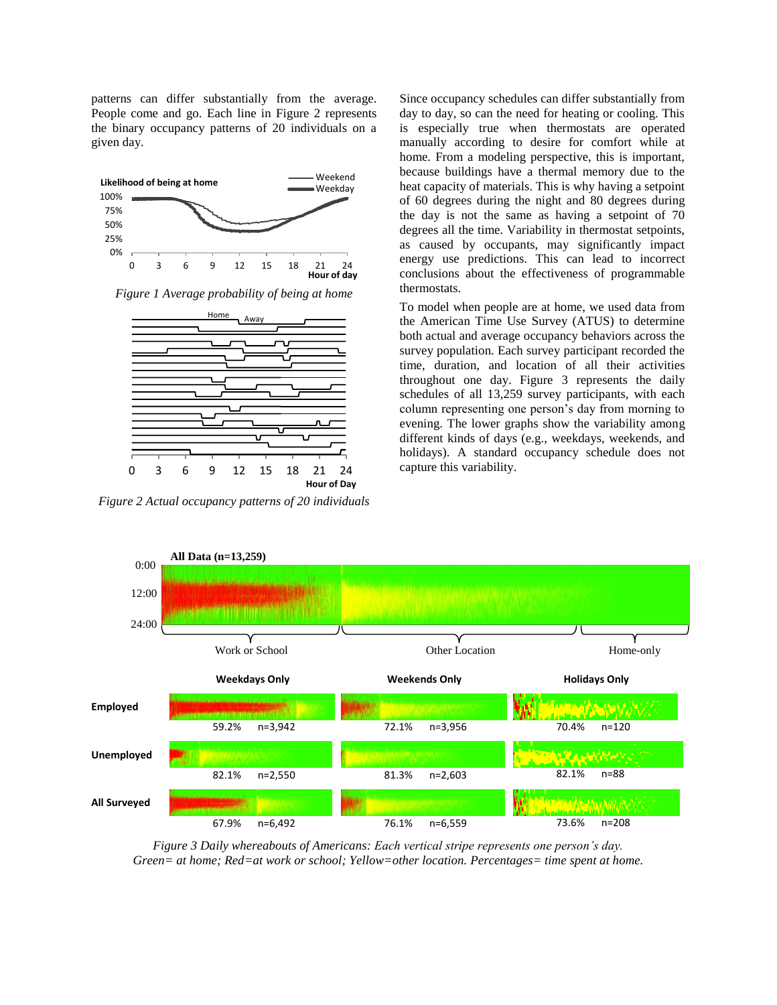patterns can differ substantially from the average. People come and go. Each line in Figure 2 represents the binary occupancy patterns of 20 individuals on a given day.



*Figure 1 Average probability of being at home*



*Figure 2 Actual occupancy patterns of 20 individuals*

Since occupancy schedules can differ substantially from day to day, so can the need for heating or cooling. This is especially true when thermostats are operated manually according to desire for comfort while at home. From a modeling perspective, this is important, because buildings have a thermal memory due to the heat capacity of materials. This is why having a setpoint of 60 degrees during the night and 80 degrees during the day is not the same as having a setpoint of 70 degrees all the time. Variability in thermostat setpoints, as caused by occupants, may significantly impact energy use predictions. This can lead to incorrect conclusions about the effectiveness of programmable thermostats.

To model when people are at home, we used data from the American Time Use Survey (ATUS) to determine both actual and average occupancy behaviors across the survey population. Each survey participant recorded the time, duration, and location of all their activities throughout one day. Figure 3 represents the daily schedules of all 13,259 survey participants, with each column representing one person's day from morning to evening. The lower graphs show the variability among different kinds of days (e.g., weekdays, weekends, and holidays). A standard occupancy schedule does not capture this variability.



*Figure 3 Daily whereabouts of Americans: Each vertical stripe represents one person's day. Green= at home; Red=at work or school; Yellow=other location. Percentages= time spent at home.*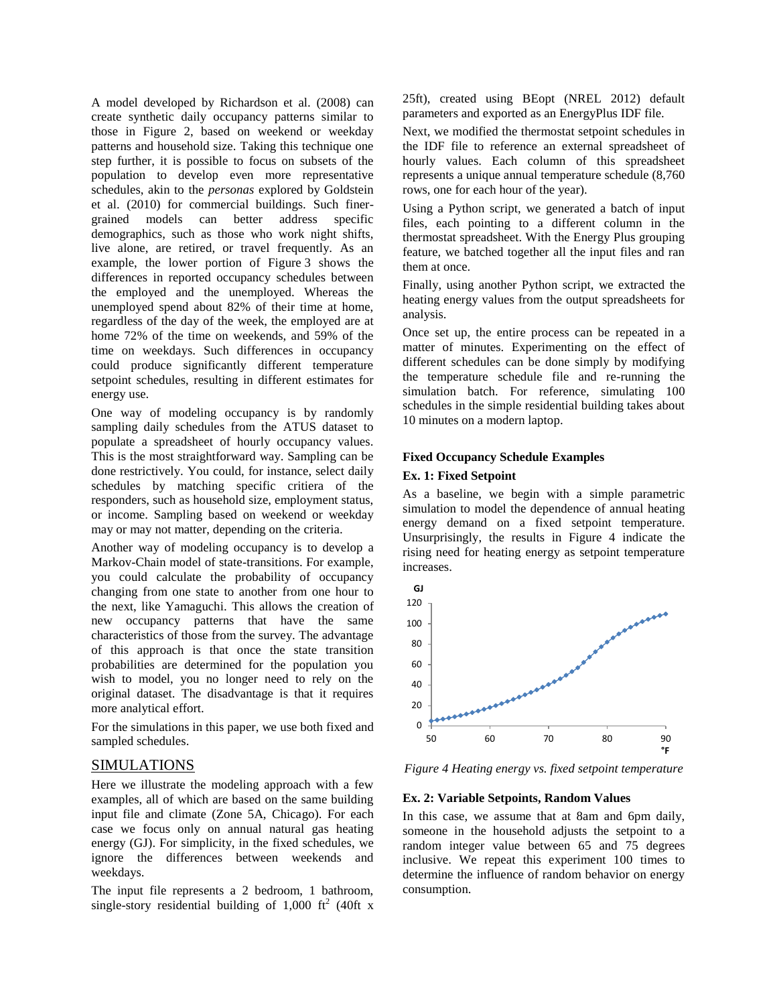A model developed by Richardson et al. (2008) can create synthetic daily occupancy patterns similar to those in Figure 2, based on weekend or weekday patterns and household size. Taking this technique one step further, it is possible to focus on subsets of the population to develop even more representative schedules, akin to the *personas* explored by Goldstein et al. (2010) for commercial buildings. Such finergrained models can better address specific demographics, such as those who work night shifts, live alone, are retired, or travel frequently. As an example, the lower portion of Figure 3 shows the differences in reported occupancy schedules between the employed and the unemployed. Whereas the unemployed spend about 82% of their time at home, regardless of the day of the week, the employed are at home 72% of the time on weekends, and 59% of the time on weekdays. Such differences in occupancy could produce significantly different temperature setpoint schedules, resulting in different estimates for energy use.

One way of modeling occupancy is by randomly sampling daily schedules from the ATUS dataset to populate a spreadsheet of hourly occupancy values. This is the most straightforward way. Sampling can be done restrictively. You could, for instance, select daily schedules by matching specific critiera of the responders, such as household size, employment status, or income. Sampling based on weekend or weekday may or may not matter, depending on the criteria.

Another way of modeling occupancy is to develop a Markov-Chain model of state-transitions. For example, you could calculate the probability of occupancy changing from one state to another from one hour to the next, like Yamaguchi. This allows the creation of new occupancy patterns that have the same characteristics of those from the survey. The advantage of this approach is that once the state transition probabilities are determined for the population you wish to model, you no longer need to rely on the original dataset. The disadvantage is that it requires more analytical effort.

For the simulations in this paper, we use both fixed and sampled schedules.

## SIMULATIONS

Here we illustrate the modeling approach with a few examples, all of which are based on the same building input file and climate (Zone 5A, Chicago). For each case we focus only on annual natural gas heating energy (GJ). For simplicity, in the fixed schedules, we ignore the differences between weekends and weekdays.

The input file represents a 2 bedroom, 1 bathroom, single-story residential building of  $1,000$  ft<sup>2</sup> (40ft x 25ft), created using BEopt (NREL 2012) default parameters and exported as an EnergyPlus IDF file.

Next, we modified the thermostat setpoint schedules in the IDF file to reference an external spreadsheet of hourly values. Each column of this spreadsheet represents a unique annual temperature schedule (8,760 rows, one for each hour of the year).

Using a Python script, we generated a batch of input files, each pointing to a different column in the thermostat spreadsheet. With the Energy Plus grouping feature, we batched together all the input files and ran them at once.

Finally, using another Python script, we extracted the heating energy values from the output spreadsheets for analysis.

Once set up, the entire process can be repeated in a matter of minutes. Experimenting on the effect of different schedules can be done simply by modifying the temperature schedule file and re-running the simulation batch. For reference, simulating 100 schedules in the simple residential building takes about 10 minutes on a modern laptop.

# **Fixed Occupancy Schedule Examples**

## **Ex. 1: Fixed Setpoint**

As a baseline, we begin with a simple parametric simulation to model the dependence of annual heating energy demand on a fixed setpoint temperature. Unsurprisingly, the results in Figure 4 indicate the rising need for heating energy as setpoint temperature increases.



*Figure 4 Heating energy vs. fixed setpoint temperature*

#### **Ex. 2: Variable Setpoints, Random Values**

In this case, we assume that at 8am and 6pm daily, someone in the household adjusts the setpoint to a random integer value between 65 and 75 degrees inclusive. We repeat this experiment 100 times to determine the influence of random behavior on energy consumption.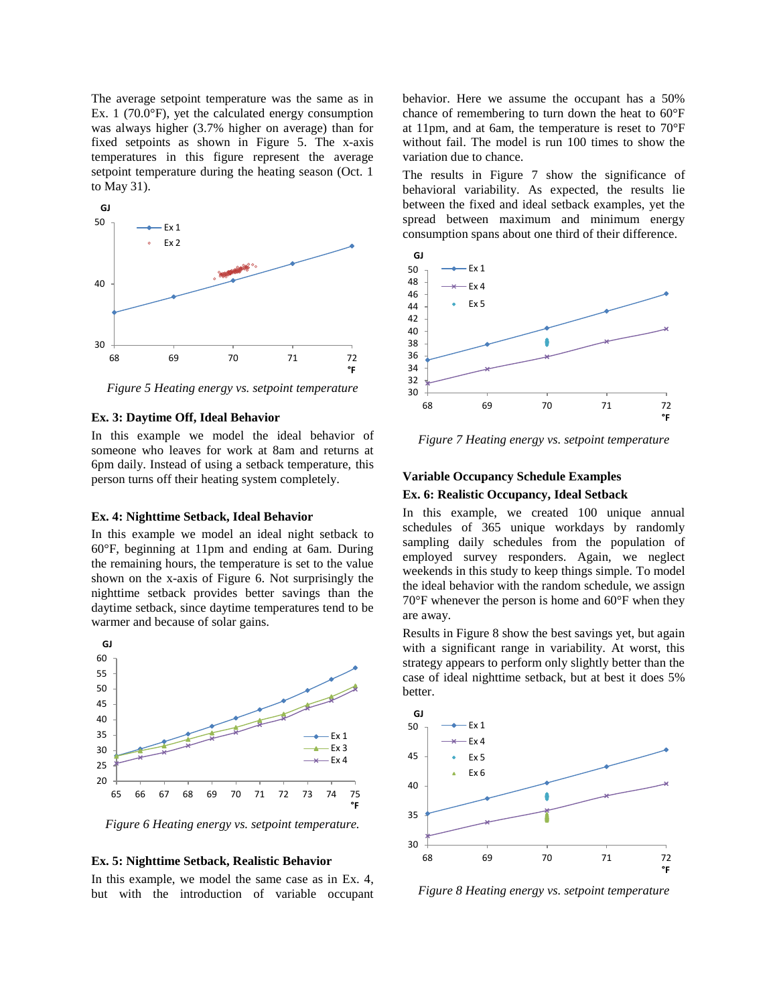The average setpoint temperature was the same as in Ex. 1 (70.0°F), yet the calculated energy consumption was always higher (3.7% higher on average) than for fixed setpoints as shown in Figure 5. The x-axis temperatures in this figure represent the average setpoint temperature during the heating season (Oct. 1 to May 31).



*Figure 5 Heating energy vs. setpoint temperature*

#### **Ex. 3: Daytime Off, Ideal Behavior**

In this example we model the ideal behavior of someone who leaves for work at 8am and returns at 6pm daily. Instead of using a setback temperature, this person turns off their heating system completely.

#### **Ex. 4: Nighttime Setback, Ideal Behavior**

In this example we model an ideal night setback to 60°F, beginning at 11pm and ending at 6am. During the remaining hours, the temperature is set to the value shown on the x-axis of Figure 6. Not surprisingly the nighttime setback provides better savings than the daytime setback, since daytime temperatures tend to be warmer and because of solar gains.



*Figure 6 Heating energy vs. setpoint temperature.*

#### **Ex. 5: Nighttime Setback, Realistic Behavior**

In this example, we model the same case as in Ex. 4, but with the introduction of variable occupant

behavior. Here we assume the occupant has a 50% chance of remembering to turn down the heat to 60°F at 11pm, and at 6am, the temperature is reset to 70°F without fail. The model is run 100 times to show the variation due to chance.

The results in Figure 7 show the significance of behavioral variability. As expected, the results lie between the fixed and ideal setback examples, yet the spread between maximum and minimum energy consumption spans about one third of their difference.



*Figure 7 Heating energy vs. setpoint temperature*

# **Variable Occupancy Schedule Examples Ex. 6: Realistic Occupancy, Ideal Setback**

In this example, we created 100 unique annual schedules of 365 unique workdays by randomly sampling daily schedules from the population of employed survey responders. Again, we neglect weekends in this study to keep things simple. To model the ideal behavior with the random schedule, we assign 70°F whenever the person is home and 60°F when they are away.

Results in Figure 8 show the best savings yet, but again with a significant range in variability. At worst, this strategy appears to perform only slightly better than the case of ideal nighttime setback, but at best it does 5% better.



*Figure 8 Heating energy vs. setpoint temperature*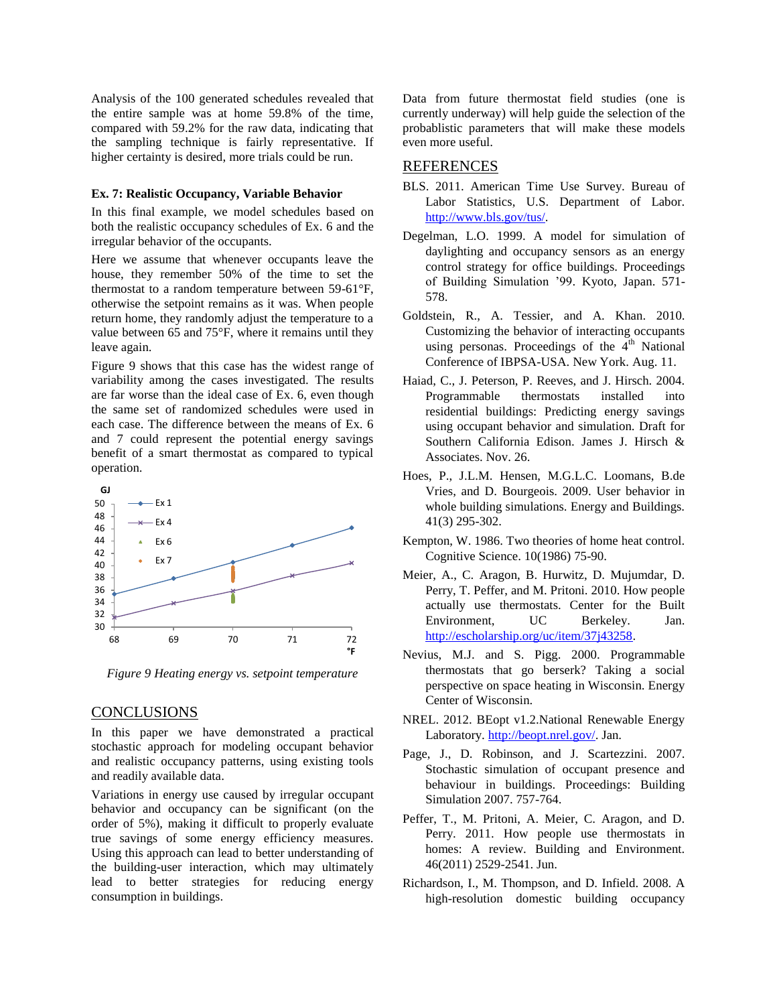Analysis of the 100 generated schedules revealed that the entire sample was at home 59.8% of the time, compared with 59.2% for the raw data, indicating that the sampling technique is fairly representative. If higher certainty is desired, more trials could be run.

#### **Ex. 7: Realistic Occupancy, Variable Behavior**

In this final example, we model schedules based on both the realistic occupancy schedules of Ex. 6 and the irregular behavior of the occupants.

Here we assume that whenever occupants leave the house, they remember 50% of the time to set the thermostat to a random temperature between 59-61°F, otherwise the setpoint remains as it was. When people return home, they randomly adjust the temperature to a value between 65 and 75°F, where it remains until they leave again.

Figure 9 shows that this case has the widest range of variability among the cases investigated. The results are far worse than the ideal case of Ex. 6, even though the same set of randomized schedules were used in each case. The difference between the means of Ex. 6 and 7 could represent the potential energy savings benefit of a smart thermostat as compared to typical operation.



*Figure 9 Heating energy vs. setpoint temperature*

## **CONCLUSIONS**

In this paper we have demonstrated a practical stochastic approach for modeling occupant behavior and realistic occupancy patterns, using existing tools and readily available data.

Variations in energy use caused by irregular occupant behavior and occupancy can be significant (on the order of 5%), making it difficult to properly evaluate true savings of some energy efficiency measures. Using this approach can lead to better understanding of the building-user interaction, which may ultimately lead to better strategies for reducing energy consumption in buildings.

Data from future thermostat field studies (one is currently underway) will help guide the selection of the probablistic parameters that will make these models even more useful.

## REFERENCES

- BLS. 2011. American Time Use Survey. Bureau of Labor Statistics, U.S. Department of Labor. [http://www.bls.gov/tus/.](http://www.bls.gov/tus/)
- Degelman, L.O. 1999. A model for simulation of daylighting and occupancy sensors as an energy control strategy for office buildings. Proceedings of Building Simulation '99. Kyoto, Japan. 571- 578.
- Goldstein, R., A. Tessier, and A. Khan. 2010. Customizing the behavior of interacting occupants using personas. Proceedings of the 4<sup>th</sup> National Conference of IBPSA-USA. New York. Aug. 11.
- Haiad, C., J. Peterson, P. Reeves, and J. Hirsch. 2004. Programmable thermostats installed into residential buildings: Predicting energy savings using occupant behavior and simulation. Draft for Southern California Edison. James J. Hirsch & Associates. Nov. 26.
- Hoes, P., J.L.M. Hensen, M.G.L.C. Loomans, B.de Vries, and D. Bourgeois. 2009. User behavior in whole building simulations. Energy and Buildings. 41(3) 295-302.
- Kempton, W. 1986. Two theories of home heat control. Cognitive Science. 10(1986) 75-90.
- Meier, A., C. Aragon, B. Hurwitz, D. Mujumdar, D. Perry, T. Peffer, and M. Pritoni. 2010. How people actually use thermostats. Center for the Built Environment, UC Berkeley. Jan. [http://escholarship.org/uc/item/37j43258.](http://escholarship.org/uc/item/37j43258)
- Nevius, M.J. and S. Pigg. 2000. Programmable thermostats that go berserk? Taking a social perspective on space heating in Wisconsin. Energy Center of Wisconsin.
- NREL. 2012. BEopt v1.2.National Renewable Energy Laboratory. [http://beopt.nrel.gov/.](http://beopt.nrel.gov/) Jan.
- Page, J., D. Robinson, and J. Scartezzini. 2007. Stochastic simulation of occupant presence and behaviour in buildings. Proceedings: Building Simulation 2007. 757-764.
- Peffer, T., M. Pritoni, A. Meier, C. Aragon, and D. Perry. 2011. How people use thermostats in homes: A review. Building and Environment. 46(2011) 2529-2541. Jun.
- Richardson, I., M. Thompson, and D. Infield. 2008. A high-resolution domestic building occupancy